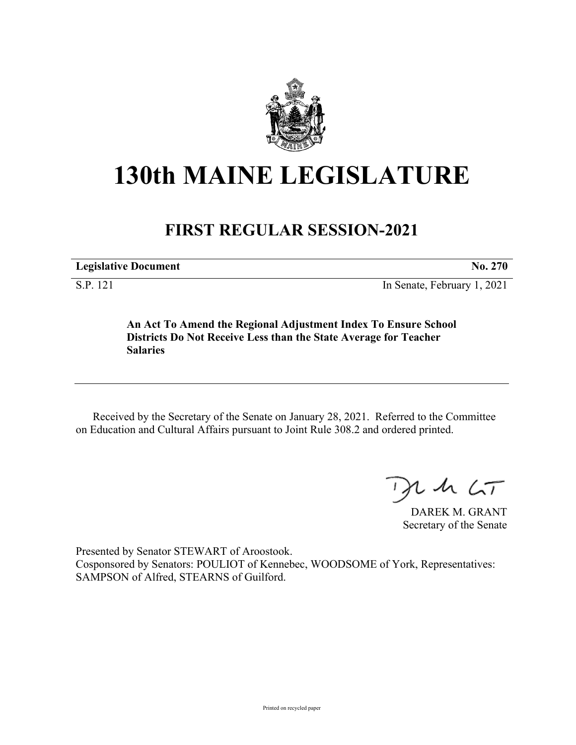

## **130th MAINE LEGISLATURE**

## **FIRST REGULAR SESSION-2021**

**Legislative Document No. 270**

S.P. 121 In Senate, February 1, 2021

**An Act To Amend the Regional Adjustment Index To Ensure School Districts Do Not Receive Less than the State Average for Teacher Salaries**

Received by the Secretary of the Senate on January 28, 2021. Referred to the Committee on Education and Cultural Affairs pursuant to Joint Rule 308.2 and ordered printed.

 $U$  sh  $\zeta$ T

DAREK M. GRANT Secretary of the Senate

Presented by Senator STEWART of Aroostook. Cosponsored by Senators: POULIOT of Kennebec, WOODSOME of York, Representatives: SAMPSON of Alfred, STEARNS of Guilford.